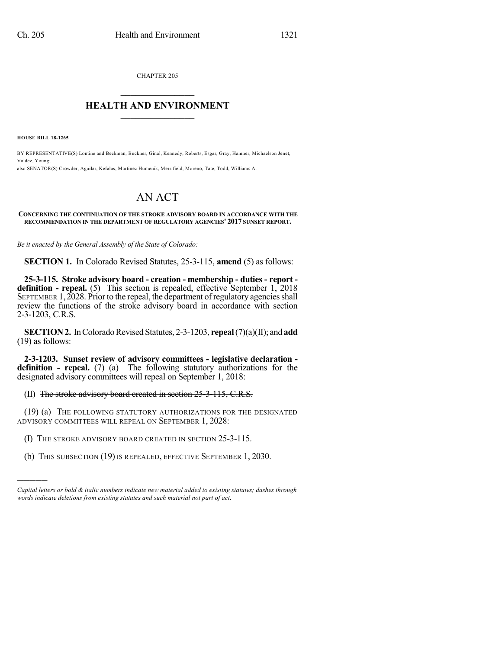CHAPTER 205

## $\overline{\phantom{a}}$  . The set of the set of the set of the set of the set of the set of the set of the set of the set of the set of the set of the set of the set of the set of the set of the set of the set of the set of the set o **HEALTH AND ENVIRONMENT**  $\_$

**HOUSE BILL 18-1265**

)))))

BY REPRESENTATIVE(S) Lontine and Beckman, Buckner, Ginal, Kennedy, Roberts, Esgar, Gray, Hamner, Michaelson Jenet, Valdez, Young; also SENATOR(S) Crowder, Aguilar, Kefalas, Martinez Humenik, Merrifield, Moreno, Tate, Todd, Williams A.

## AN ACT

## **CONCERNING THE CONTINUATION OF THE STROKE ADVISORY BOARD IN ACCORDANCE WITH THE RECOMMENDATION IN THE DEPARTMENT OF REGULATORY AGENCIES' 2017 SUNSET REPORT.**

*Be it enacted by the General Assembly of the State of Colorado:*

**SECTION 1.** In Colorado Revised Statutes, 25-3-115, **amend** (5) as follows:

**25-3-115. Stroke advisory board - creation - membership - duties - report definition - repeal.** (5) This section is repealed, effective September 1, 2018 SEPTEMBER  $1,2028$ . Prior to the repeal, the department of regulatory agencies shall review the functions of the stroke advisory board in accordance with section 2-3-1203, C.R.S.

**SECTION 2.** In Colorado Revised Statutes, 2-3-1203, **repeal** (7)(a)(II); and **add** (19) as follows:

**2-3-1203. Sunset review of advisory committees - legislative declaration definition - repeal.** (7) (a) The following statutory authorizations for the designated advisory committees will repeal on September 1, 2018:

## (II) The stroke advisory board created in section 25-3-115, C.R.S.

(19) (a) THE FOLLOWING STATUTORY AUTHORIZATIONS FOR THE DESIGNATED ADVISORY COMMITTEES WILL REPEAL ON SEPTEMBER 1, 2028:

- (I) THE STROKE ADVISORY BOARD CREATED IN SECTION 25-3-115.
- (b) THIS SUBSECTION (19) IS REPEALED, EFFECTIVE SEPTEMBER 1, 2030.

*Capital letters or bold & italic numbers indicate new material added to existing statutes; dashes through words indicate deletions from existing statutes and such material not part of act.*